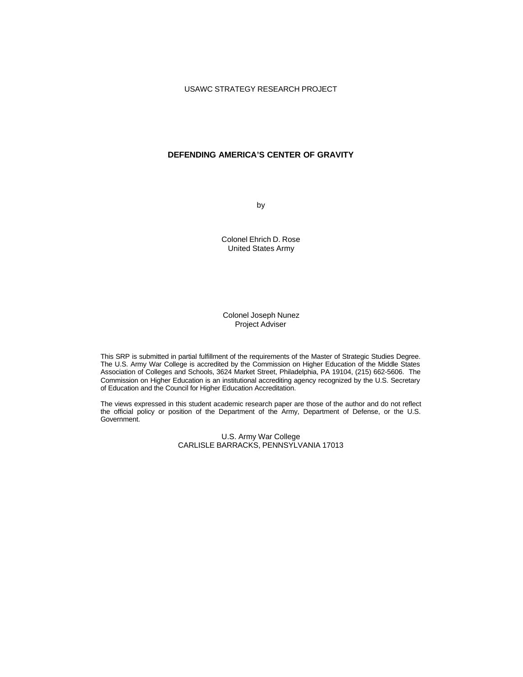# **DEFENDING AMERICA'S CENTER OF GRAVITY**

by

Colonel Ehrich D. Rose United States Army

### Colonel Joseph Nunez Project Adviser

This SRP is submitted in partial fulfillment of the requirements of the Master of Strategic Studies Degree. The U.S. Army War College is accredited by the Commission on Higher Education of the Middle States Association of Colleges and Schools, 3624 Market Street, Philadelphia, PA 19104, (215) 662-5606. The Commission on Higher Education is an institutional accrediting agency recognized by the U.S. Secretary of Education and the Council for Higher Education Accreditation.

The views expressed in this student academic research paper are those of the author and do not reflect the official policy or position of the Department of the Army, Department of Defense, or the U.S. Government.

> U.S. Army War College CARLISLE BARRACKS, PENNSYLVANIA 17013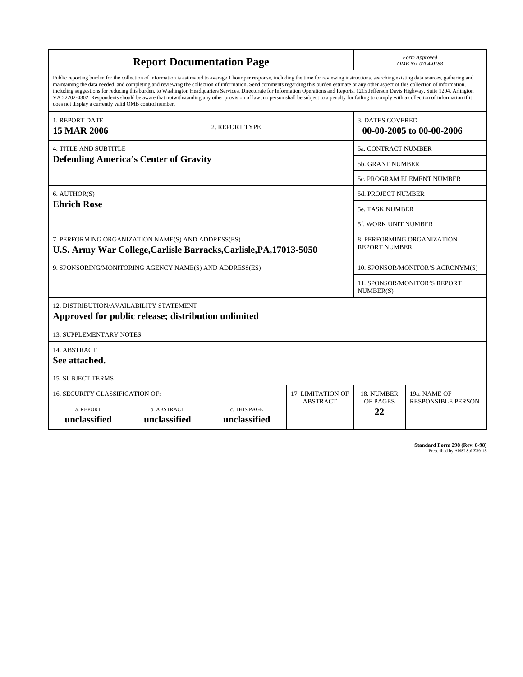| <b>Report Documentation Page</b>                                                                                                                                                                                                                                                                                                                                                                                                                                                                                                                                                                                                                                                                                                                                                                                                                                   |                             |                              |                     | Form Approved<br>OMB No. 0704-0188                  |                                                  |  |
|--------------------------------------------------------------------------------------------------------------------------------------------------------------------------------------------------------------------------------------------------------------------------------------------------------------------------------------------------------------------------------------------------------------------------------------------------------------------------------------------------------------------------------------------------------------------------------------------------------------------------------------------------------------------------------------------------------------------------------------------------------------------------------------------------------------------------------------------------------------------|-----------------------------|------------------------------|---------------------|-----------------------------------------------------|--------------------------------------------------|--|
| Public reporting burden for the collection of information is estimated to average 1 hour per response, including the time for reviewing instructions, searching existing data sources, gathering and<br>maintaining the data needed, and completing and reviewing the collection of information. Send comments regarding this burden estimate or any other aspect of this collection of information,<br>including suggestions for reducing this burden, to Washington Headquarters Services, Directorate for Information Operations and Reports, 1215 Jefferson Davis Highway, Suite 1204, Arlington<br>VA 22202-4302. Respondents should be aware that notwithstanding any other provision of law, no person shall be subject to a penalty for failing to comply with a collection of information if it<br>does not display a currently valid OMB control number. |                             |                              |                     |                                                     |                                                  |  |
| 1. REPORT DATE<br><b>15 MAR 2006</b>                                                                                                                                                                                                                                                                                                                                                                                                                                                                                                                                                                                                                                                                                                                                                                                                                               |                             | 2. REPORT TYPE               |                     | <b>3. DATES COVERED</b><br>00-00-2005 to 00-00-2006 |                                                  |  |
| 4. TITLE AND SUBTITLE                                                                                                                                                                                                                                                                                                                                                                                                                                                                                                                                                                                                                                                                                                                                                                                                                                              |                             |                              | 5a. CONTRACT NUMBER |                                                     |                                                  |  |
| <b>Defending America's Center of Gravity</b>                                                                                                                                                                                                                                                                                                                                                                                                                                                                                                                                                                                                                                                                                                                                                                                                                       |                             |                              |                     | <b>5b. GRANT NUMBER</b>                             |                                                  |  |
|                                                                                                                                                                                                                                                                                                                                                                                                                                                                                                                                                                                                                                                                                                                                                                                                                                                                    |                             |                              |                     |                                                     | 5c. PROGRAM ELEMENT NUMBER                       |  |
| 6. AUTHOR(S)<br><b>Ehrich Rose</b>                                                                                                                                                                                                                                                                                                                                                                                                                                                                                                                                                                                                                                                                                                                                                                                                                                 |                             |                              |                     | <b>5d. PROJECT NUMBER</b>                           |                                                  |  |
|                                                                                                                                                                                                                                                                                                                                                                                                                                                                                                                                                                                                                                                                                                                                                                                                                                                                    |                             |                              |                     | <b>5e. TASK NUMBER</b>                              |                                                  |  |
|                                                                                                                                                                                                                                                                                                                                                                                                                                                                                                                                                                                                                                                                                                                                                                                                                                                                    |                             |                              |                     |                                                     | <b>5f. WORK UNIT NUMBER</b>                      |  |
| 7. PERFORMING ORGANIZATION NAME(S) AND ADDRESS(ES)<br>U.S. Army War College, Carlisle Barracks, Carlisle, PA, 17013-5050                                                                                                                                                                                                                                                                                                                                                                                                                                                                                                                                                                                                                                                                                                                                           |                             |                              |                     | 8. PERFORMING ORGANIZATION<br><b>REPORT NUMBER</b>  |                                                  |  |
| 9. SPONSORING/MONITORING AGENCY NAME(S) AND ADDRESS(ES)                                                                                                                                                                                                                                                                                                                                                                                                                                                                                                                                                                                                                                                                                                                                                                                                            |                             |                              |                     | 10. SPONSOR/MONITOR'S ACRONYM(S)                    |                                                  |  |
|                                                                                                                                                                                                                                                                                                                                                                                                                                                                                                                                                                                                                                                                                                                                                                                                                                                                    |                             |                              |                     |                                                     | <b>11. SPONSOR/MONITOR'S REPORT</b><br>NUMBER(S) |  |
| 12. DISTRIBUTION/AVAILABILITY STATEMENT<br>Approved for public release; distribution unlimited                                                                                                                                                                                                                                                                                                                                                                                                                                                                                                                                                                                                                                                                                                                                                                     |                             |                              |                     |                                                     |                                                  |  |
|                                                                                                                                                                                                                                                                                                                                                                                                                                                                                                                                                                                                                                                                                                                                                                                                                                                                    |                             |                              |                     |                                                     |                                                  |  |
| <b>13. SUPPLEMENTARY NOTES</b>                                                                                                                                                                                                                                                                                                                                                                                                                                                                                                                                                                                                                                                                                                                                                                                                                                     |                             |                              |                     |                                                     |                                                  |  |
| 14. ABSTRACT<br>See attached.                                                                                                                                                                                                                                                                                                                                                                                                                                                                                                                                                                                                                                                                                                                                                                                                                                      |                             |                              |                     |                                                     |                                                  |  |
| <b>15. SUBJECT TERMS</b>                                                                                                                                                                                                                                                                                                                                                                                                                                                                                                                                                                                                                                                                                                                                                                                                                                           |                             |                              |                     |                                                     |                                                  |  |
| 16. SECURITY CLASSIFICATION OF:                                                                                                                                                                                                                                                                                                                                                                                                                                                                                                                                                                                                                                                                                                                                                                                                                                    |                             |                              | 17. LIMITATION OF   | 18. NUMBER                                          | 19a. NAME OF                                     |  |
| a. REPORT<br>unclassified                                                                                                                                                                                                                                                                                                                                                                                                                                                                                                                                                                                                                                                                                                                                                                                                                                          | b. ABSTRACT<br>unclassified | c. THIS PAGE<br>unclassified | <b>ABSTRACT</b>     | OF PAGES<br>22                                      | <b>RESPONSIBLE PERSON</b>                        |  |

**Standard Form 298 (Rev. 8-98)**<br>Prescribed by ANSI Std Z39-18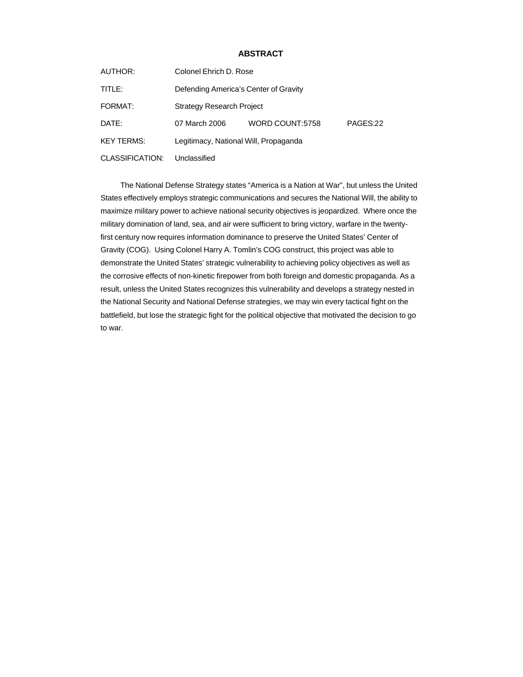## **ABSTRACT**

| AUTHOR:           | Colonel Ehrich D. Rose                |                 |          |  |  |
|-------------------|---------------------------------------|-----------------|----------|--|--|
| TITLE:            | Defending America's Center of Gravity |                 |          |  |  |
| FORMAT:           | <b>Strategy Research Project</b>      |                 |          |  |  |
| DATE:             | 07 March 2006                         | WORD COUNT:5758 | PAGES:22 |  |  |
| <b>KEY TERMS:</b> | Legitimacy, National Will, Propaganda |                 |          |  |  |
| CLASSIFICATION:   | Unclassified                          |                 |          |  |  |

The National Defense Strategy states "America is a Nation at War", but unless the United States effectively employs strategic communications and secures the National Will, the ability to maximize military power to achieve national security objectives is jeopardized. Where once the military domination of land, sea, and air were sufficient to bring victory, warfare in the twentyfirst century now requires information dominance to preserve the United States' Center of Gravity (COG). Using Colonel Harry A. Tomlin's COG construct, this project was able to demonstrate the United States' strategic vulnerability to achieving policy objectives as well as the corrosive effects of non-kinetic firepower from both foreign and domestic propaganda. As a result, unless the United States recognizes this vulnerability and develops a strategy nested in the National Security and National Defense strategies, we may win every tactical fight on the battlefield, but lose the strategic fight for the political objective that motivated the decision to go to war.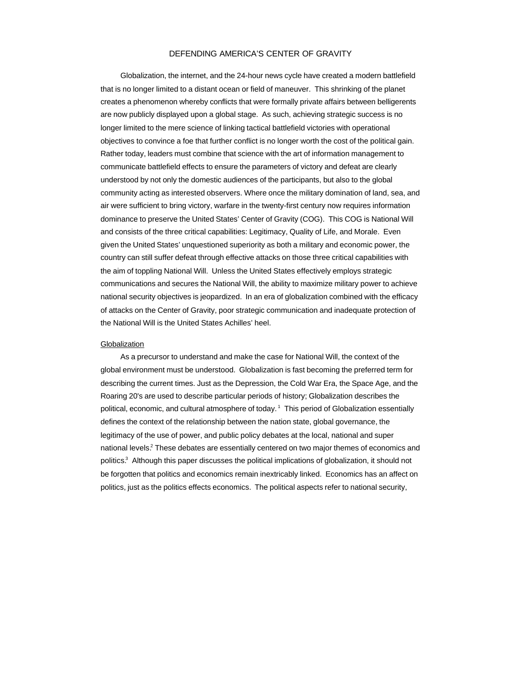### DEFENDING AMERICA'S CENTER OF GRAVITY

Globalization, the internet, and the 24-hour news cycle have created a modern battlefield that is no longer limited to a distant ocean or field of maneuver. This shrinking of the planet creates a phenomenon whereby conflicts that were formally private affairs between belligerents are now publicly displayed upon a global stage. As such, achieving strategic success is no longer limited to the mere science of linking tactical battlefield victories with operational objectives to convince a foe that further conflict is no longer worth the cost of the political gain. Rather today, leaders must combine that science with the art of information management to communicate battlefield effects to ensure the parameters of victory and defeat are clearly understood by not only the domestic audiences of the participants, but also to the global community acting as interested observers. Where once the military domination of land, sea, and air were sufficient to bring victory, warfare in the twenty-first century now requires information dominance to preserve the United States' Center of Gravity (COG). This COG is National Will and consists of the three critical capabilities: Legitimacy, Quality of Life, and Morale. Even given the United States' unquestioned superiority as both a military and economic power, the country can still suffer defeat through effective attacks on those three critical capabilities with the aim of toppling National Will. Unless the United States effectively employs strategic communications and secures the National Will, the ability to maximize military power to achieve national security objectives is jeopardized. In an era of globalization combined with the efficacy of attacks on the Center of Gravity, poor strategic communication and inadequate protection of the National Will is the United States Achilles' heel.

#### **Globalization**

As a precursor to understand and make the case for National Will, the context of the global environment must be understood. Globalization is fast becoming the preferred term for describing the current times. Just as the Depression, the Cold War Era, the Space Age, and the Roaring 20's are used to describe particular periods of history; Globalization describes the political, economic, and cultural atmosphere of today.<sup>1</sup> This period of Globalization essentially defines the context of the relationship between the nation state, global governance, the legitimacy of the use of power, and public policy debates at the local, national and super national levels.<sup>2</sup> These debates are essentially centered on two major themes of economics and politics.<sup>3</sup> Although this paper discusses the political implications of globalization, it should not be forgotten that politics and economics remain inextricably linked. Economics has an affect on politics, just as the politics effects economics. The political aspects refer to national security,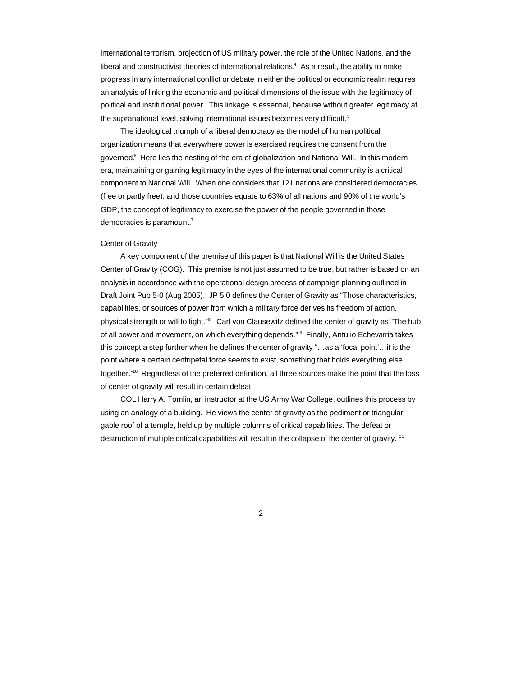international terrorism, projection of US military power, the role of the United Nations, and the liberal and constructivist theories of international relations.<sup>4</sup> As a result, the ability to make progress in any international conflict or debate in either the political or economic realm requires an analysis of linking the economic and political dimensions of the issue with the legitimacy of political and institutional power. This linkage is essential, because without greater legitimacy at the supranational level, solving international issues becomes very difficult.<sup>5</sup>

The ideological triumph of a liberal democracy as the model of human political organization means that everywhere power is exercised requires the consent from the governed.<sup>6</sup> Here lies the nesting of the era of globalization and National Will. In this modern era, maintaining or gaining legitimacy in the eyes of the international community is a critical component to National Will. When one considers that 121 nations are considered democracies (free or partly free), and those countries equate to 63% of all nations and 90% of the world's GDP, the concept of legitimacy to exercise the power of the people governed in those democracies is paramount.<sup>7</sup>

### Center of Gravity

A key component of the premise of this paper is that National Will is the United States Center of Gravity (COG). This premise is not just assumed to be true, but rather is based on an analysis in accordance with the operational design process of campaign planning outlined in Draft Joint Pub 5-0 (Aug 2005). JP 5.0 defines the Center of Gravity as "Those characteristics, capabilities, or sources of power from which a military force derives its freedom of action, physical strength or will to fight."<sup>8</sup> Carl von Clausewitz defined the center of gravity as "The hub of all power and movement, on which everything depends." <sup>9</sup> Finally, Antulio Echevarria takes this concept a step further when he defines the center of gravity "…as a 'focal point'…it is the point where a certain centripetal force seems to exist, something that holds everything else together."<sup>10</sup> Regardless of the preferred definition, all three sources make the point that the loss of center of gravity will result in certain defeat.

COL Harry A. Tomlin, an instructor at the US Army War College, outlines this process by using an analogy of a building. He views the center of gravity as the pediment or triangular gable roof of a temple, held up by multiple columns of critical capabilities. The defeat or destruction of multiple critical capabilities will result in the collapse of the center of gravity. <sup>11</sup>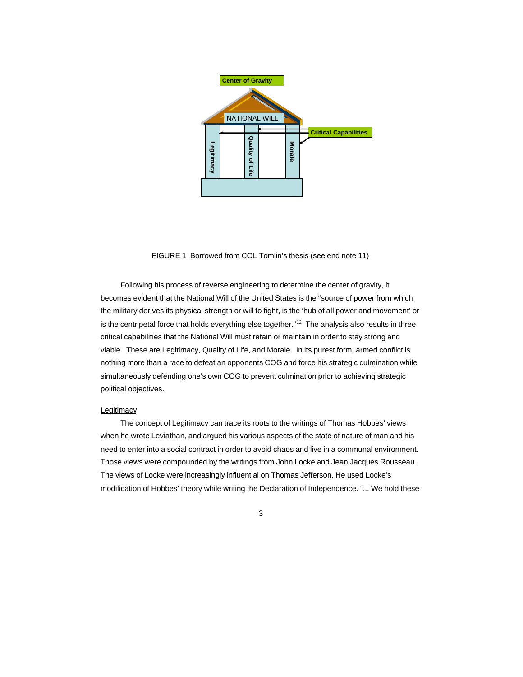

FIGURE 1 Borrowed from COL Tomlin's thesis (see end note 11)

Following his process of reverse engineering to determine the center of gravity, it becomes evident that the National Will of the United States is the "source of power from which the military derives its physical strength or will to fight, is the 'hub of all power and movement' or is the centripetal force that holds everything else together."<sup>12</sup> The analysis also results in three critical capabilities that the National Will must retain or maintain in order to stay strong and viable. These are Legitimacy, Quality of Life, and Morale. In its purest form, armed conflict is nothing more than a race to defeat an opponents COG and force his strategic culmination while simultaneously defending one's own COG to prevent culmination prior to achieving strategic political objectives.

#### Legitimacy

The concept of Legitimacy can trace its roots to the writings of Thomas Hobbes' views when he wrote Leviathan, and argued his various aspects of the state of nature of man and his need to enter into a social contract in order to avoid chaos and live in a communal environment. Those views were compounded by the writings from John Locke and Jean Jacques Rousseau. The views of Locke were increasingly influential on Thomas Jefferson. He used Locke's modification of Hobbes' theory while writing the Declaration of Independence. "... We hold these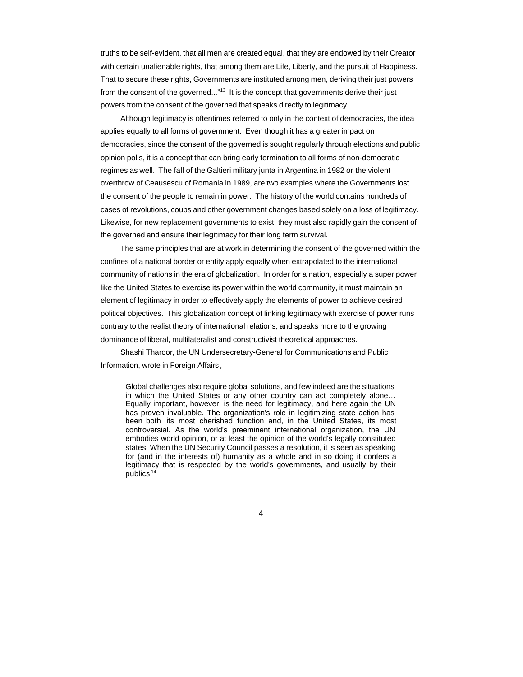truths to be self-evident, that all men are created equal, that they are endowed by their Creator with certain unalienable rights, that among them are Life, Liberty, and the pursuit of Happiness. That to secure these rights, Governments are instituted among men, deriving their just powers from the consent of the governed..."<sup>13</sup> It is the concept that governments derive their just powers from the consent of the governed that speaks directly to legitimacy.

Although legitimacy is oftentimes referred to only in the context of democracies, the idea applies equally to all forms of government. Even though it has a greater impact on democracies, since the consent of the governed is sought regularly through elections and public opinion polls, it is a concept that can bring early termination to all forms of non-democratic regimes as well. The fall of the Galtieri military junta in Argentina in 1982 or the violent overthrow of Ceausescu of Romania in 1989, are two examples where the Governments lost the consent of the people to remain in power. The history of the world contains hundreds of cases of revolutions, coups and other government changes based solely on a loss of legitimacy. Likewise, for new replacement governments to exist, they must also rapidly gain the consent of the governed and ensure their legitimacy for their long term survival.

The same principles that are at work in determining the consent of the governed within the confines of a national border or entity apply equally when extrapolated to the international community of nations in the era of globalization. In order for a nation, especially a super power like the United States to exercise its power within the world community, it must maintain an element of legitimacy in order to effectively apply the elements of power to achieve desired political objectives. This globalization concept of linking legitimacy with exercise of power runs contrary to the realist theory of international relations, and speaks more to the growing dominance of liberal, multilateralist and constructivist theoretical approaches.

Shashi Tharoor, the UN Undersecretary-General for Communications and Public Information, wrote in Foreign Affairs *,*

Global challenges also require global solutions, and few indeed are the situations in which the United States or any other country can act completely alone… Equally important, however, is the need for legitimacy, and here again the UN has proven invaluable. The organization's role in legitimizing state action has been both its most cherished function and, in the United States, its most controversial. As the world's preeminent international organization, the UN embodies world opinion, or at least the opinion of the world's legally constituted states. When the UN Security Council passes a resolution, it is seen as speaking for (and in the interests of) humanity as a whole and in so doing it confers a legitimacy that is respected by the world's governments, and usually by their publics.<sup>14</sup>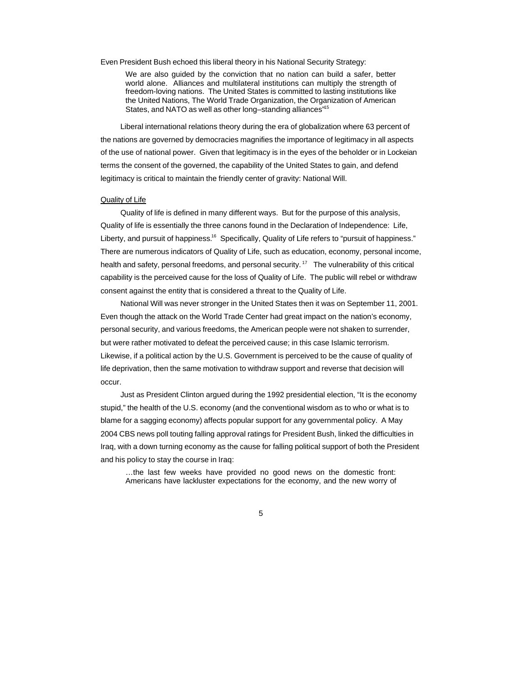Even President Bush echoed this liberal theory in his National Security Strategy:

We are also guided by the conviction that no nation can build a safer, better world alone. Alliances and multilateral institutions can multiply the strength of freedom-loving nations. The United States is committed to lasting institutions like the United Nations, The World Trade Organization, the Organization of American States, and NATO as well as other long–standing alliances<sup>"15</sup>

Liberal international relations theory during the era of globalization where 63 percent of the nations are governed by democracies magnifies the importance of legitimacy in all aspects of the use of national power. Given that legitimacy is in the eyes of the beholder or in Lockeian terms the consent of the governed, the capability of the United States to gain, and defend legitimacy is critical to maintain the friendly center of gravity: National Will.

#### Quality of Life

Quality of life is defined in many different ways. But for the purpose of this analysis, Quality of life is essentially the three canons found in the Declaration of Independence: Life, Liberty, and pursuit of happiness.<sup>16</sup> Specifically, Quality of Life refers to "pursuit of happiness." There are numerous indicators of Quality of Life, such as education, economy, personal income, health and safety, personal freedoms, and personal security.<sup>17</sup> The vulnerability of this critical capability is the perceived cause for the loss of Quality of Life. The public will rebel or withdraw consent against the entity that is considered a threat to the Quality of Life.

National Will was never stronger in the United States then it was on September 11, 2001. Even though the attack on the World Trade Center had great impact on the nation's economy, personal security, and various freedoms, the American people were not shaken to surrender, but were rather motivated to defeat the perceived cause; in this case Islamic terrorism. Likewise, if a political action by the U.S. Government is perceived to be the cause of quality of life deprivation, then the same motivation to withdraw support and reverse that decision will occur.

Just as President Clinton argued during the 1992 presidential election, "It is the economy stupid," the health of the U.S. economy (and the conventional wisdom as to who or what is to blame for a sagging economy) affects popular support for any governmental policy. A May 2004 CBS news poll touting falling approval ratings for President Bush, linked the difficulties in Iraq, with a down turning economy as the cause for falling political support of both the President and his policy to stay the course in Iraq:

…the last few weeks have provided no good news on the domestic front: Americans have lackluster expectations for the economy, and the new worry of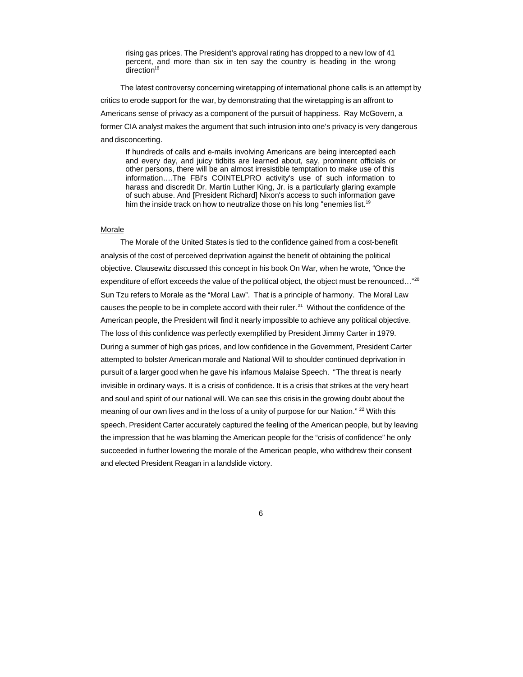rising gas prices. The President's approval rating has dropped to a new low of 41 percent, and more than six in ten say the country is heading in the wrong direction $18$ 

The latest controversy concerning wiretapping of international phone calls is an attempt by critics to erode support for the war, by demonstrating that the wiretapping is an affront to Americans sense of privacy as a component of the pursuit of happiness. Ray McGovern, a former CIA analyst makes the argument that such intrusion into one's privacy is very dangerous and disconcerting.

If hundreds of calls and e-mails involving Americans are being intercepted each and every day, and juicy tidbits are learned about, say, prominent officials or other persons, there will be an almost irresistible temptation to make use of this information….The FBI's COINTELPRO activity's use of such information to harass and discredit Dr. Martin Luther King, Jr. is a particularly glaring example of such abuse. And [President Richard] Nixon's access to such information gave him the inside track on how to neutralize those on his long "enemies list.<sup>19</sup>

### Morale

The Morale of the United States is tied to the confidence gained from a cost-benefit analysis of the cost of perceived deprivation against the benefit of obtaining the political objective. Clausewitz discussed this concept in his book On War, when he wrote, "Once the expenditure of effort exceeds the value of the political object, the object must be renounced..."<sup>20</sup> Sun Tzu refers to Morale as the "Moral Law". That is a principle of harmony. The Moral Law causes the people to be in complete accord with their ruler.<sup>21</sup> Without the confidence of the American people, the President will find it nearly impossible to achieve any political objective. The loss of this confidence was perfectly exemplified by President Jimmy Carter in 1979. During a summer of high gas prices, and low confidence in the Government, President Carter attempted to bolster American morale and National Will to shoulder continued deprivation in pursuit of a larger good when he gave his infamous Malaise Speech. "The threat is nearly invisible in ordinary ways. It is a crisis of confidence. It is a crisis that strikes at the very heart and soul and spirit of our national will. We can see this crisis in the growing doubt about the meaning of our own lives and in the loss of a unity of purpose for our Nation." <sup>22</sup> With this speech, President Carter accurately captured the feeling of the American people, but by leaving the impression that he was blaming the American people for the "crisis of confidence" he only succeeded in further lowering the morale of the American people, who withdrew their consent and elected President Reagan in a landslide victory.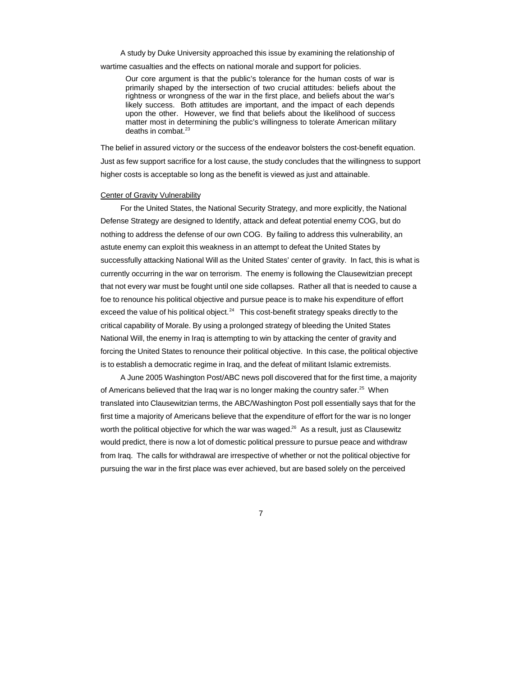A study by Duke University approached this issue by examining the relationship of

wartime casualties and the effects on national morale and support for policies.

Our core argument is that the public's tolerance for the human costs of war is primarily shaped by the intersection of two crucial attitudes: beliefs about the rightness or wrongness of the war in the first place, and beliefs about the war's likely success. Both attitudes are important, and the impact of each depends upon the other. However, we find that beliefs about the likelihood of success matter most in determining the public's willingness to tolerate American military deaths in combat. $23$ 

The belief in assured victory or the success of the endeavor bolsters the cost-benefit equation. Just as few support sacrifice for a lost cause, the study concludes that the willingness to support higher costs is acceptable so long as the benefit is viewed as just and attainable.

#### Center of Gravity Vulnerability

For the United States, the National Security Strategy, and more explicitly, the National Defense Strategy are designed to Identify, attack and defeat potential enemy COG, but do nothing to address the defense of our own COG. By failing to address this vulnerability, an astute enemy can exploit this weakness in an attempt to defeat the United States by successfully attacking National Will as the United States' center of gravity. In fact, this is what is currently occurring in the war on terrorism. The enemy is following the Clausewitzian precept that not every war must be fought until one side collapses. Rather all that is needed to cause a foe to renounce his political objective and pursue peace is to make his expenditure of effort exceed the value of his political object. $24$  This cost-benefit strategy speaks directly to the critical capability of Morale. By using a prolonged strategy of bleeding the United States National Will, the enemy in Iraq is attempting to win by attacking the center of gravity and forcing the United States to renounce their political objective. In this case, the political objective is to establish a democratic regime in Iraq, and the defeat of militant Islamic extremists.

A June 2005 Washington Post/ABC news poll discovered that for the first time, a majority of Americans believed that the Iraq war is no longer making the country safer.<sup>25</sup> When translated into Clausewitzian terms, the ABC/Washington Post poll essentially says that for the first time a majority of Americans believe that the expenditure of effort for the war is no longer worth the political objective for which the war was waged.<sup>26</sup> As a result, just as Clausewitz would predict, there is now a lot of domestic political pressure to pursue peace and withdraw from Iraq. The calls for withdrawal are irrespective of whether or not the political objective for pursuing the war in the first place was ever achieved, but are based solely on the perceived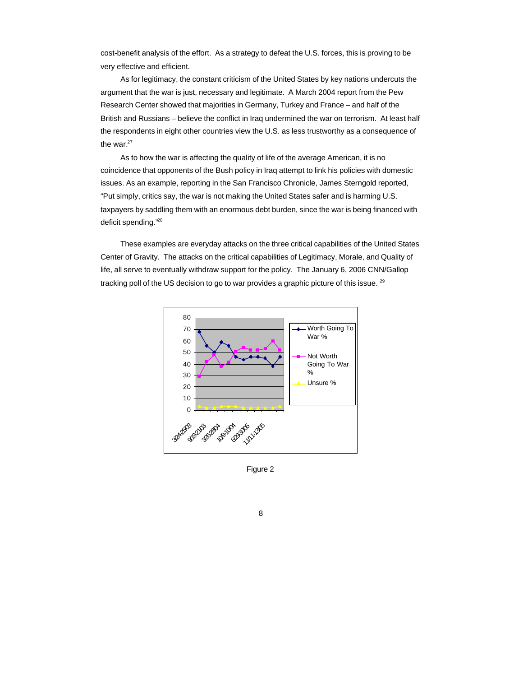cost-benefit analysis of the effort. As a strategy to defeat the U.S. forces, this is proving to be very effective and efficient.

As for legitimacy, the constant criticism of the United States by key nations undercuts the argument that the war is just, necessary and legitimate. A March 2004 report from the Pew Research Center showed that majorities in Germany, Turkey and France – and half of the British and Russians – believe the conflict in Iraq undermined the war on terrorism. At least half the respondents in eight other countries view the U.S. as less trustworthy as a consequence of the war. $27$ 

As to how the war is affecting the quality of life of the average American, it is no coincidence that opponents of the Bush policy in Iraq attempt to link his policies with domestic issues. As an example, reporting in the San Francisco Chronicle, James Sterngold reported, "Put simply, critics say, the war is not making the United States safer and is harming U.S. taxpayers by saddling them with an enormous debt burden, since the war is being financed with deficit spending."<sup>28</sup>

These examples are everyday attacks on the three critical capabilities of the United States Center of Gravity. The attacks on the critical capabilities of Legitimacy, Morale, and Quality of life, all serve to eventually withdraw support for the policy. The January 6, 2006 CNN/Gallop tracking poll of the US decision to go to war provides a graphic picture of this issue.  $29$ 



Figure 2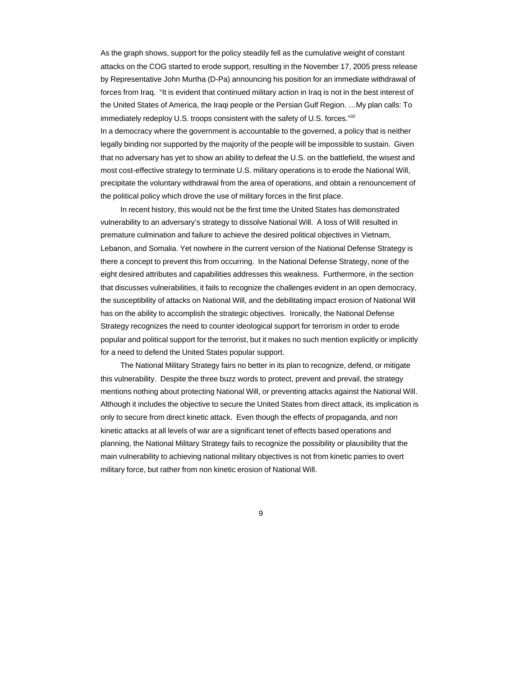As the graph shows, support for the policy steadily fell as the cumulative weight of constant attacks on the COG started to erode support, resulting in the November 17, 2005 press release by Representative John Murtha (D-Pa) announcing his position for an immediate withdrawal of forces from Iraq. "It is evident that continued military action in Iraq is not in the best interest of the United States of America, the Iraqi people or the Persian Gulf Region. …My plan calls: To immediately redeploy U.S. troops consistent with the safety of U.S. forces."30

In a democracy where the government is accountable to the governed, a policy that is neither legally binding nor supported by the majority of the people will be impossible to sustain. Given that no adversary has yet to show an ability to defeat the U.S. on the battlefield, the wisest and most cost-effective strategy to terminate U.S. military operations is to erode the National Will, precipitate the voluntary withdrawal from the area of operations, and obtain a renouncement of the political policy which drove the use of military forces in the first place.

In recent history, this would not be the first time the United States has demonstrated vulnerability to an adversary's strategy to dissolve National Will. A loss of Will resulted in premature culmination and failure to achieve the desired political objectives in Vietnam, Lebanon, and Somalia. Yet nowhere in the current version of the National Defense Strategy is there a concept to prevent this from occurring. In the National Defense Strategy, none of the eight desired attributes and capabilities addresses this weakness. Furthermore, in the section that discusses vulnerabilities, it fails to recognize the challenges evident in an open democracy, the susceptibility of attacks on National Will, and the debilitating impact erosion of National Will has on the ability to accomplish the strategic objectives. Ironically, the National Defense Strategy recognizes the need to counter ideological support for terrorism in order to erode popular and political support for the terrorist, but it makes no such mention explicitly or implicitly for a need to defend the United States popular support.

The National Military Strategy fairs no better in its plan to recognize, defend, or mitigate this vulnerability. Despite the three buzz words to protect, prevent and prevail, the strategy mentions nothing about protecting National Will, or preventing attacks against the National Will. Although it includes the objective to secure the United States from direct attack, its implication is only to secure from direct kinetic attack. Even though the effects of propaganda, and non kinetic attacks at all levels of war are a significant tenet of effects based operations and planning, the National Military Strategy fails to recognize the possibility or plausibility that the main vulnerability to achieving national military objectives is not from kinetic parries to overt military force, but rather from non kinetic erosion of National Will.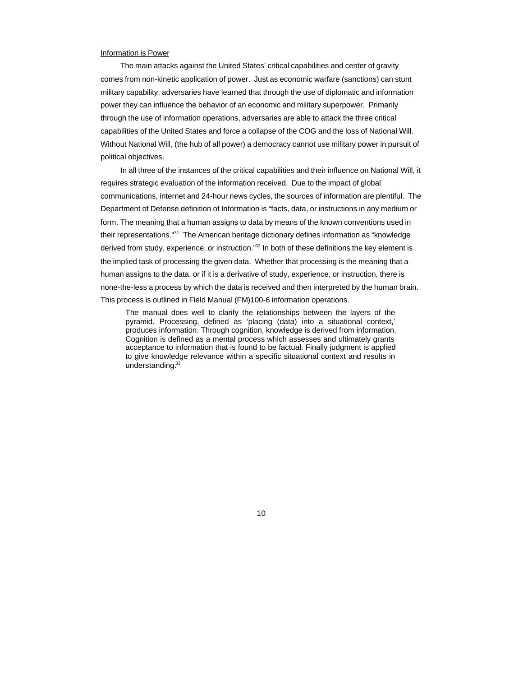#### Information is Power

The main attacks against the United States' critical capabilities and center of gravity comes from non-kinetic application of power. Just as economic warfare (sanctions) can stunt military capability, adversaries have learned that through the use of diplomatic and information power they can influence the behavior of an economic and military superpower. Primarily through the use of information operations, adversaries are able to attack the three critical capabilities of the United States and force a collapse of the COG and the loss of National Will. Without National Will, (the hub of all power) a democracy cannot use military power in pursuit of political objectives.

In all three of the instances of the critical capabilities and their influence on National Will, it requires strategic evaluation of the information received. Due to the impact of global communications, internet and 24-hour news cycles, the sources of information are plentiful. The Department of Defense definition of Information is "facts, data, or instructions in any medium or form. The meaning that a human assigns to data by means of the known conventions used in their representations."<sup>31</sup> The American heritage dictionary defines information as "knowledge derived from study, experience, or instruction."<sup>32</sup> In both of these definitions the key element is the implied task of processing the given data. Whether that processing is the meaning that a human assigns to the data, or if it is a derivative of study, experience, or instruction, there is none-the-less a process by which the data is received and then interpreted by the human brain. This process is outlined in Field Manual (FM)100-6 information operations.

The manual does well to clarify the relationships between the layers of the pyramid. Processing, defined as 'placing (data) into a situational context,' produces information. Through cognition, knowledge is derived from information. Cognition is defined as a mental process which assesses and ultimately grants acceptance to information that is found to be factual. Finally judgment is applied to give knowledge relevance within a specific situational context and results in understanding.<sup>33</sup>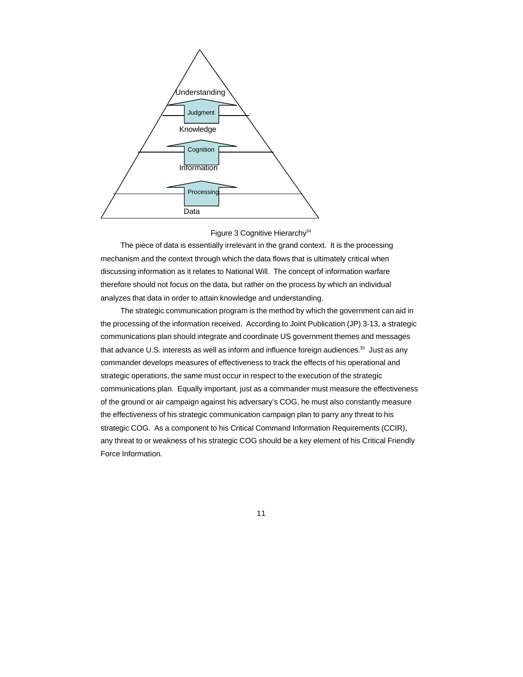

### Figure 3 Cognitive Hierarchy<sup>34</sup>

The piece of data is essentially irrelevant in the grand context. It is the processing mechanism and the context through which the data flows that is ultimately critical when discussing information as it relates to National Will. The concept of information warfare therefore should not focus on the data, but rather on the process by which an individual analyzes that data in order to attain knowledge and understanding.

The strategic communication program is the method by which the government can aid in the processing of the information received. According to Joint Publication (JP) 3-13, a strategic communications plan should integrate and coordinate US government themes and messages that advance U.S. interests as well as inform and influence foreign audiences.<sup>35</sup> Just as any commander develops measures of effectiveness to track the effects of his operational and strategic operations, the same must occur in respect to the execution of the strategic communications plan. Equally important, just as a commander must measure the effectiveness of the ground or air campaign against his adversary's COG, he must also constantly measure the effectiveness of his strategic communication campaign plan to parry any threat to his strategic COG. As a component to his Critical Command Information Requirements (CCIR), any threat to or weakness of his strategic COG should be a key element of his Critical Friendly Force Information.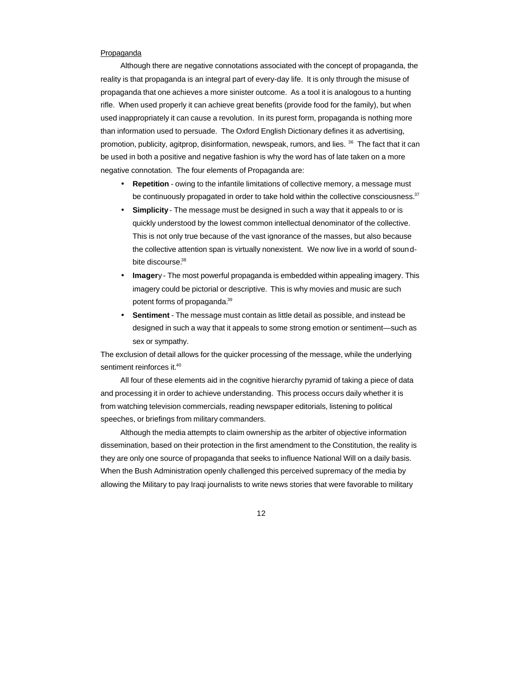#### Propaganda

Although there are negative connotations associated with the concept of propaganda, the reality is that propaganda is an integral part of every-day life. It is only through the misuse of propaganda that one achieves a more sinister outcome. As a tool it is analogous to a hunting rifle. When used properly it can achieve great benefits (provide food for the family), but when used inappropriately it can cause a revolution. In its purest form, propaganda is nothing more than information used to persuade. The Oxford English Dictionary defines it as advertising, promotion, publicity, agitprop, disinformation, newspeak, rumors, and lies. <sup>36</sup> The fact that it can be used in both a positive and negative fashion is why the word has of late taken on a more negative connotation. The four elements of Propaganda are:

- **Repetition** owing to the infantile limitations of collective memory, a message must be continuously propagated in order to take hold within the collective consciousness. $37$
- **Simplicity** The message must be designed in such a way that it appeals to or is quickly understood by the lowest common intellectual denominator of the collective. This is not only true because of the vast ignorance of the masses, but also because the collective attention span is virtually nonexistent. We now live in a world of soundbite discourse.<sup>38</sup>
- **Imager**y The most powerful propaganda is embedded within appealing imagery. This imagery could be pictorial or descriptive. This is why movies and music are such potent forms of propaganda.<sup>39</sup>
- **Sentiment** The message must contain as little detail as possible, and instead be designed in such a way that it appeals to some strong emotion or sentiment—such as sex or sympathy.

The exclusion of detail allows for the quicker processing of the message, while the underlying sentiment reinforces it.<sup>40</sup>

All four of these elements aid in the cognitive hierarchy pyramid of taking a piece of data and processing it in order to achieve understanding. This process occurs daily whether it is from watching television commercials, reading newspaper editorials, listening to political speeches, or briefings from military commanders.

Although the media attempts to claim ownership as the arbiter of objective information dissemination, based on their protection in the first amendment to the Constitution, the reality is they are only one source of propaganda that seeks to influence National Will on a daily basis. When the Bush Administration openly challenged this perceived supremacy of the media by allowing the Military to pay Iraqi journalists to write news stories that were favorable to military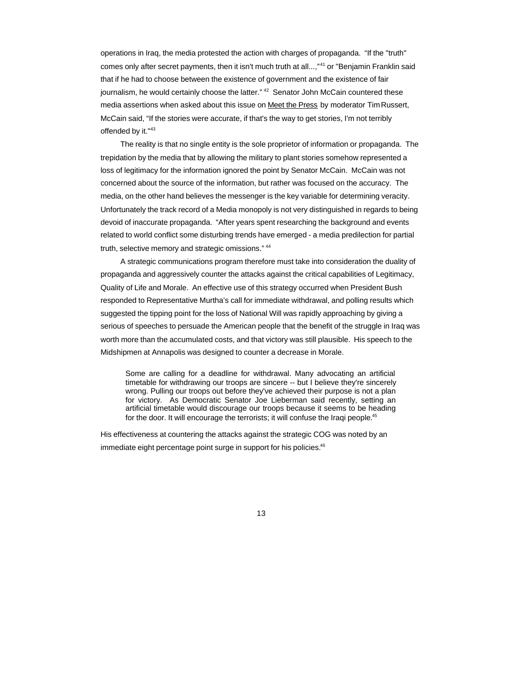operations in Iraq, the media protested the action with charges of propaganda. "If the ''truth'' comes only after secret payments, then it isn't much truth at all...,"<sup>41</sup> or "Benjamin Franklin said that if he had to choose between the existence of government and the existence of fair journalism, he would certainly choose the latter."  $42$  Senator John McCain countered these media assertions when asked about this issue on Meet the Press by moderator Tim Russert, McCain said, "If the stories were accurate, if that's the way to get stories, I'm not terribly offended by it."43

The reality is that no single entity is the sole proprietor of information or propaganda. The trepidation by the media that by allowing the military to plant stories somehow represented a loss of legitimacy for the information ignored the point by Senator McCain. McCain was not concerned about the source of the information, but rather was focused on the accuracy. The media, on the other hand believes the messenger is the key variable for determining veracity. Unfortunately the track record of a Media monopoly is not very distinguished in regards to being devoid of inaccurate propaganda. "After years spent researching the background and events related to world conflict some disturbing trends have emerged - a media predilection for partial truth, selective memory and strategic omissions." <sup>44</sup>

A strategic communications program therefore must take into consideration the duality of propaganda and aggressively counter the attacks against the critical capabilities of Legitimacy, Quality of Life and Morale. An effective use of this strategy occurred when President Bush responded to Representative Murtha's call for immediate withdrawal, and polling results which suggested the tipping point for the loss of National Will was rapidly approaching by giving a serious of speeches to persuade the American people that the benefit of the struggle in Iraq was worth more than the accumulated costs, and that victory was still plausible. His speech to the Midshipmen at Annapolis was designed to counter a decrease in Morale.

Some are calling for a deadline for withdrawal. Many advocating an artificial timetable for withdrawing our troops are sincere -- but I believe they're sincerely wrong. Pulling our troops out before they've achieved their purpose is not a plan for victory. As Democratic Senator Joe Lieberman said recently, setting an artificial timetable would discourage our troops because it seems to be heading for the door. It will encourage the terrorists; it will confuse the Iraqi people.<sup>45</sup>

His effectiveness at countering the attacks against the strategic COG was noted by an immediate eight percentage point surge in support for his policies.<sup>46</sup>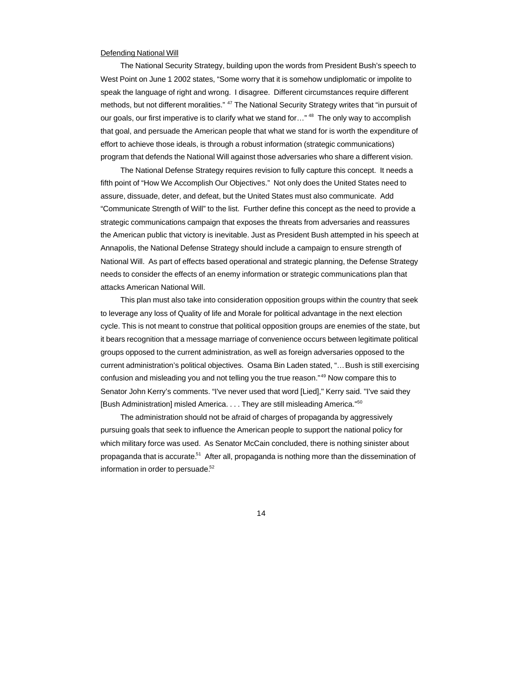#### Defending National Will

The National Security Strategy, building upon the words from President Bush's speech to West Point on June 1 2002 states, "Some worry that it is somehow undiplomatic or impolite to speak the language of right and wrong. I disagree. Different circumstances require different methods, but not different moralities." <sup>47</sup> The National Security Strategy writes that "in pursuit of our goals, our first imperative is to clarify what we stand for..." <sup>48</sup> The only way to accomplish that goal, and persuade the American people that what we stand for is worth the expenditure of effort to achieve those ideals, is through a robust information (strategic communications) program that defends the National Will against those adversaries who share a different vision.

The National Defense Strategy requires revision to fully capture this concept. It needs a fifth point of "How We Accomplish Our Objectives." Not only does the United States need to assure, dissuade, deter, and defeat, but the United States must also communicate. Add "Communicate Strength of Will" to the list. Further define this concept as the need to provide a strategic communications campaign that exposes the threats from adversaries and reassures the American public that victory is inevitable. Just as President Bush attempted in his speech at Annapolis, the National Defense Strategy should include a campaign to ensure strength of National Will. As part of effects based operational and strategic planning, the Defense Strategy needs to consider the effects of an enemy information or strategic communications plan that attacks American National Will.

This plan must also take into consideration opposition groups within the country that seek to leverage any loss of Quality of life and Morale for political advantage in the next election cycle. This is not meant to construe that political opposition groups are enemies of the state, but it bears recognition that a message marriage of convenience occurs between legitimate political groups opposed to the current administration, as well as foreign adversaries opposed to the current administration's political objectives. Osama Bin Laden stated, "... Bush is still exercising confusion and misleading you and not telling you the true reason."<sup>49</sup> Now compare this to Senator John Kerry's comments. "I've never used that word [Lied]," Kerry said. ''I've said they [Bush Administration] misled America. . . . They are still misleading America."<sup>50</sup>

The administration should not be afraid of charges of propaganda by aggressively pursuing goals that seek to influence the American people to support the national policy for which military force was used. As Senator McCain concluded, there is nothing sinister about propaganda that is accurate.<sup>51</sup> After all, propaganda is nothing more than the dissemination of information in order to persuade.<sup>52</sup>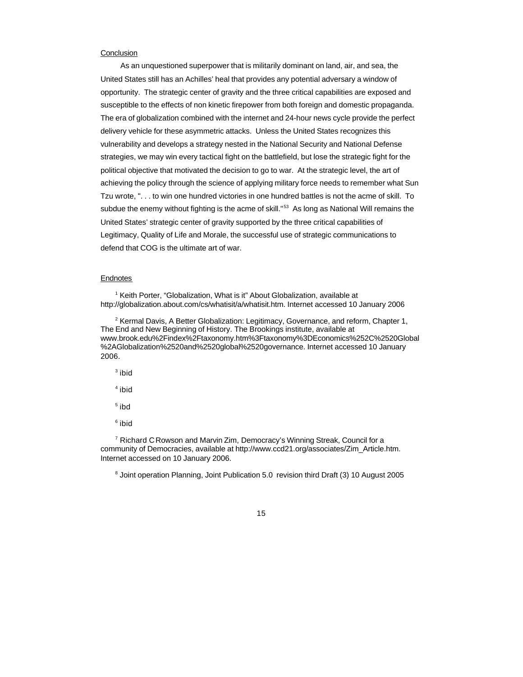### **Conclusion**

As an unquestioned superpower that is militarily dominant on land, air, and sea, the United States still has an Achilles' heal that provides any potential adversary a window of opportunity. The strategic center of gravity and the three critical capabilities are exposed and susceptible to the effects of non kinetic firepower from both foreign and domestic propaganda. The era of globalization combined with the internet and 24-hour news cycle provide the perfect delivery vehicle for these asymmetric attacks. Unless the United States recognizes this vulnerability and develops a strategy nested in the National Security and National Defense strategies, we may win every tactical fight on the battlefield, but lose the strategic fight for the political objective that motivated the decision to go to war. At the strategic level, the art of achieving the policy through the science of applying military force needs to remember what Sun Tzu wrote, ". . . to win one hundred victories in one hundred battles is not the acme of skill. To subdue the enemy without fighting is the acme of skill."<sup>53</sup> As long as National Will remains the United States' strategic center of gravity supported by the three critical capabilities of Legitimacy, Quality of Life and Morale, the successful use of strategic communications to defend that COG is the ultimate art of war.

### **Endnotes**

<sup>1</sup> Keith Porter, "Globalization, What is it" About Globalization, available at http://globalization.about.com/cs/whatisit/a/whatisit.htm. Internet accessed 10 January 2006

<sup>2</sup> Kermal Davis, A Better Globalization: Legitimacy, Governance, and reform, Chapter 1, The End and New Beginning of History. The Brookings institute, available at www.brook.edu%2Findex%2Ftaxonomy.htm%3Ftaxonomy%3DEconomics%252C%2520Global %2AGlobalization%2520and%2520global%2520governance. Internet accessed 10 January 2006.

 $^3$  ibid

4 ibid

 $^{\mathrm{5}}$  ibd

6 ibid

<sup>7</sup> Richard C Rowson and Marvin Zim, Democracy's Winning Streak, Council for a community of Democracies, available at http://www.ccd21.org/associates/Zim\_Article.htm. Internet accessed on 10 January 2006.

<sup>8</sup> Joint operation Planning, Joint Publication 5.0 revision third Draft (3) 10 August 2005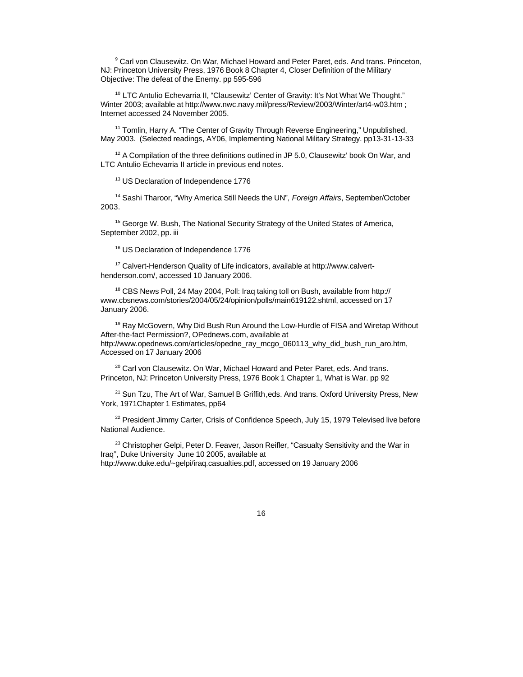<sup>9</sup> Carl von Clausewitz. On War, Michael Howard and Peter Paret, eds. And trans. Princeton, NJ: Princeton University Press, 1976 Book 8 Chapter 4, Closer Definition of the Military Objective: The defeat of the Enemy. pp 595-596

<sup>10</sup> LTC Antulio Echevarria II, "Clausewitz' Center of Gravity: It's Not What We Thought." Winter 2003; available at http://www.nwc.navy.mil/press/Review/2003/Winter/art4-w03.htm ; Internet accessed 24 November 2005.

<sup>11</sup> Tomlin, Harry A. "The Center of Gravity Through Reverse Engineering," Unpublished, May 2003. (Selected readings, AY06, Implementing National Military Strategy. pp13-31-13-33

<sup>12</sup> A Compilation of the three definitions outlined in JP 5.0, Clausewitz' book On War, and LTC Antulio Echevarria II article in previous end notes.

<sup>13</sup> US Declaration of Independence 1776

<sup>14</sup> Sashi Tharoor, "Why America Still Needs the UN", *Foreign Affairs*, September/October 2003.

<sup>15</sup> George W. Bush, The National Security Strategy of the United States of America, September 2002, pp. iii

<sup>16</sup> US Declaration of Independence 1776

17 Calvert-Henderson Quality of Life indicators, available at http://www.calverthenderson.com/, accessed 10 January 2006.

<sup>18</sup> CBS News Poll, 24 May 2004, Poll: Iraq taking toll on Bush, available from http:// www.cbsnews.com/stories/2004/05/24/opinion/polls/main619122.shtml, accessed on 17 January 2006.

<sup>19</sup> Ray McGovern, Why Did Bush Run Around the Low-Hurdle of FISA and Wiretap Without After-the-fact Permission?, OPednews.com, available at http://www.opednews.com/articles/opedne\_ray\_mcgo\_060113\_why\_did\_bush\_run\_aro.htm, Accessed on 17 January 2006

<sup>20</sup> Carl von Clausewitz. On War, Michael Howard and Peter Paret, eds. And trans. Princeton, NJ: Princeton University Press, 1976 Book 1 Chapter 1, What is War. pp 92

<sup>21</sup> Sun Tzu, The Art of War, Samuel B Griffith, eds. And trans. Oxford University Press, New York, 1971Chapter 1 Estimates, pp64

<sup>22</sup> President Jimmy Carter, Crisis of Confidence Speech, July 15, 1979 Televised live before National Audience.

<sup>23</sup> Christopher Gelpi, Peter D. Feaver, Jason Reifler, "Casualty Sensitivity and the War in Iraq", Duke University June 10 2005, available at http://www.duke.edu/~gelpi/iraq.casualties.pdf, accessed on 19 January 2006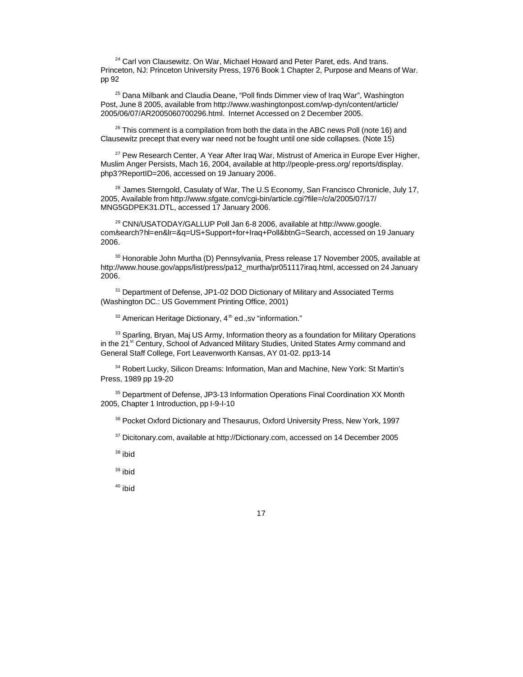<sup>24</sup> Carl von Clausewitz. On War, Michael Howard and Peter Paret, eds. And trans. Princeton, NJ: Princeton University Press, 1976 Book 1 Chapter 2, Purpose and Means of War. pp 92

<sup>25</sup> Dana Milbank and Claudia Deane, "Poll finds Dimmer view of Iraq War", Washington Post, June 8 2005, available from http://www.washingtonpost.com/wp-dyn/content/article/ 2005/06/07/AR2005060700296.html. Internet Accessed on 2 December 2005.

 $26$  This comment is a compilation from both the data in the ABC news Poll (note 16) and Clausewitz precept that every war need not be fought until one side collapses. (Note 15)

<sup>27</sup> Pew Research Center, A Year After Iraq War, Mistrust of America in Europe Ever Higher, Muslim Anger Persists, Mach 16, 2004, available at http://people-press.org/ reports/display. php3?ReportID=206, accessed on 19 January 2006.

<sup>28</sup> James Sterngold, Casulaty of War, The U.S Economy, San Francisco Chronicle, July 17, 2005, Available from http://www.sfgate.com/cgi-bin/article.cgi?file=/c/a/2005/07/17/ MNG5GDPEK31.DTL, accessed 17 January 2006.

<sup>29</sup> CNN/USATODAY/GALLUP Poll Jan 6-8 2006, available at http://www.google. com/search?hl=en&lr=&q=US+Support+for+Iraq+Poll&btnG=Search, accessed on 19 January 2006.

<sup>30</sup> Honorable John Murtha (D) Pennsylvania, Press release 17 November 2005, available at http://www.house.gov/apps/list/press/pa12\_murtha/pr051117iraq.html, accessed on 24 January 2006.

<sup>31</sup> Department of Defense, JP1-02 DOD Dictionary of Military and Associated Terms (Washington DC.: US Government Printing Office, 2001)

 $32$  American Heritage Dictionary,  $4<sup>th</sup>$  ed., sy "information."

<sup>33</sup> Sparling, Bryan, Maj US Army, Information theory as a foundation for Military Operations in the 21<sup>st</sup> Century, School of Advanced Military Studies, United States Army command and General Staff College, Fort Leavenworth Kansas, AY 01-02. pp13-14

<sup>34</sup> Robert Lucky, Silicon Dreams: Information, Man and Machine, New York: St Martin's Press, 1989 pp 19-20

<sup>35</sup> Department of Defense, JP3-13 Information Operations Final Coordination XX Month 2005, Chapter 1 Introduction, pp I-9-I-10

<sup>36</sup> Pocket Oxford Dictionary and Thesaurus, Oxford University Press, New York, 1997

<sup>37</sup> Dicitonary.com, available at http://Dictionary.com, accessed on 14 December 2005

 $38$  ibid

<sup>39</sup> ibid

 $40$  ibid